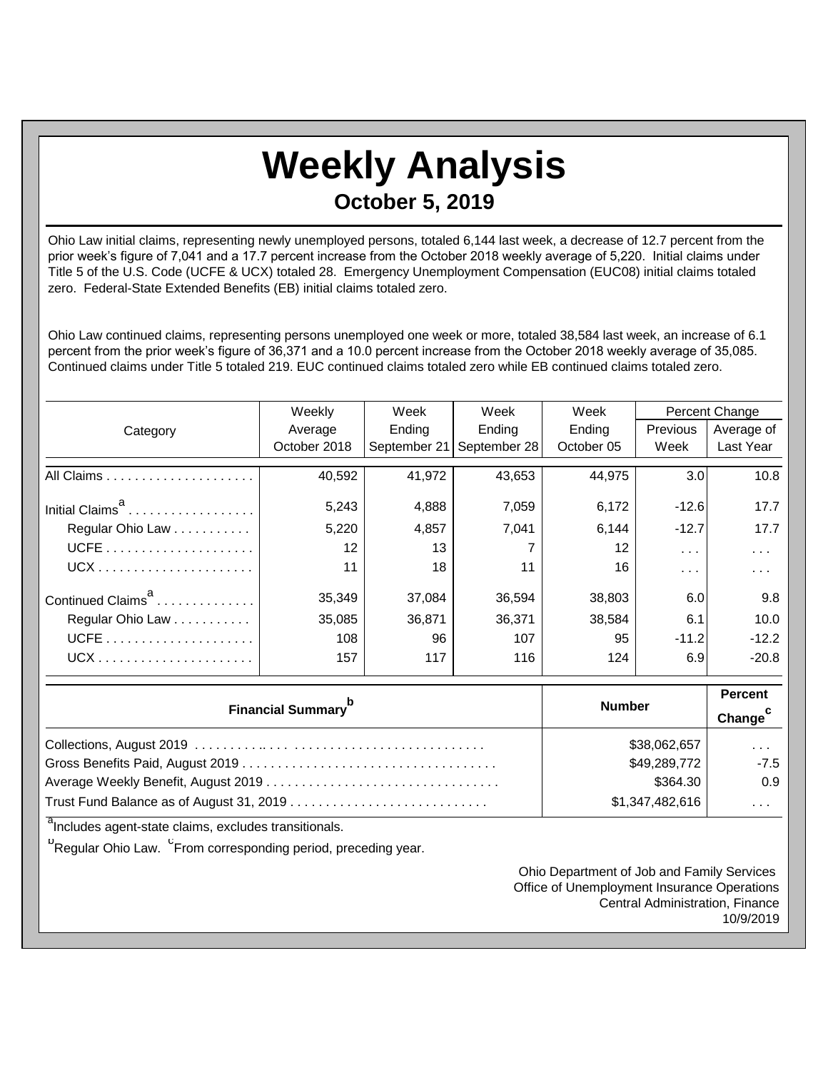## **Weekly Analysis October 5, 2019**

Ohio Law initial claims, representing newly unemployed persons, totaled 6,144 last week, a decrease of 12.7 percent from the prior week's figure of 7,041 and a 17.7 percent increase from the October 2018 weekly average of 5,220. Initial claims under Title 5 of the U.S. Code (UCFE & UCX) totaled 28. Emergency Unemployment Compensation (EUC08) initial claims totaled zero. Federal-State Extended Benefits (EB) initial claims totaled zero.

Ohio Law continued claims, representing persons unemployed one week or more, totaled 38,584 last week, an increase of 6.1 percent from the prior week's figure of 36,371 and a 10.0 percent increase from the October 2018 weekly average of 35,085. Continued claims under Title 5 totaled 219. EUC continued claims totaled zero while EB continued claims totaled zero.

|                               | Weekly            | Week<br>Week |              | Week       |                  | Percent Change |  |
|-------------------------------|-------------------|--------------|--------------|------------|------------------|----------------|--|
| Category                      | Average           | Ending       | Ending       | Ending     | Previous         | Average of     |  |
|                               | October 2018      | September 21 | September 28 | October 05 | Week             | Last Year      |  |
|                               | 40,592            | 41,972       | 43,653       | 44,975     | 3.0 <sub>l</sub> | 10.8           |  |
| Initial Claims <sup>a</sup>   | 5,243             | 4,888        | 7,059        | 6,172      | $-12.6$          | 17.7           |  |
| Regular Ohio Law              | 5,220             | 4,857        | 7.041        | 6.144      | $-12.7$          | 17.7           |  |
|                               | $12 \overline{ }$ | 13           |              | 12         | $\sim$ $\sim$    | $\cdots$       |  |
|                               | 11                | 18           | 11           | 16         | .                | .              |  |
| Continued Claims <sup>a</sup> | 35,349            | 37,084       | 36,594       | 38,803     | 6.0              | 9.8            |  |
| Regular Ohio Law              | 35,085            | 36,871       | 36,371       | 38,584     | 6.1              | 10.0           |  |
|                               | 108               | 96           | 107          | 95         | $-11.2$          | $-12.2$        |  |
|                               | 157               | 117          | 116          | 124        | 6.9              | $-20.8$        |  |

| <b>Financial Summary</b> <sup>p</sup> | <b>Number</b>   | <b>Percent</b><br>Change <sup>c</sup> |
|---------------------------------------|-----------------|---------------------------------------|
|                                       | \$38,062,657    | $\cdots$                              |
|                                       | \$49,289,772    | $-7.5$                                |
|                                       | \$364.30        | 0.9                                   |
|                                       | \$1,347,482,616 | $\cdots$                              |

<sup>a</sup>Includes agent-state claims, excludes transitionals.

<sup>b</sup>Regular Ohio Law. <sup>C</sup>From corresponding period, preceding year.

Ohio Department of Job and Family Services Office of Unemployment Insurance Operations Central Administration, Finance 10/9/2019